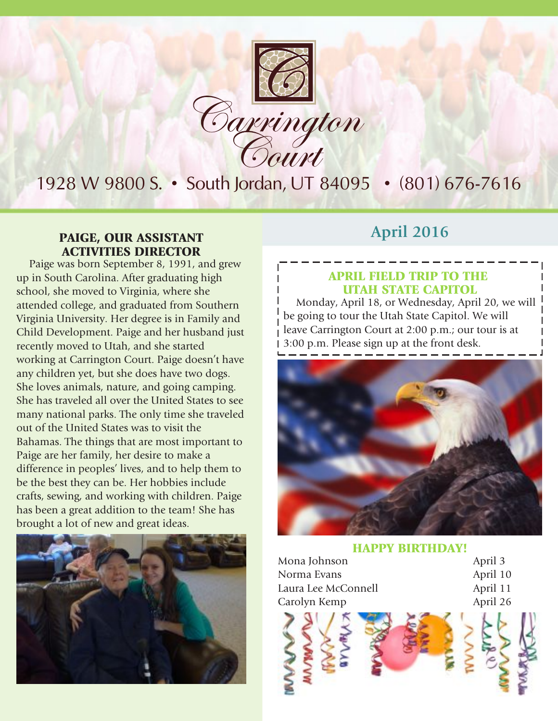

### 1928 W 9800 S. • South Jordan, UT 84095 • (801) 676-7616

### **PAIGE, OUR ASSISTANT April** 2016 ACTIVITIES DIRECTOR

Paige was born September 8, 1991, and grew up in South Carolina. After graduating high school, she moved to Virginia, where she attended college, and graduated from Southern Virginia University. Her degree is in Family and Child Development. Paige and her husband just recently moved to Utah, and she started working at Carrington Court. Paige doesn't have any children yet, but she does have two dogs. She loves animals, nature, and going camping. She has traveled all over the United States to see many national parks. The only time she traveled out of the United States was to visit the Bahamas. The things that are most important to Paige are her family, her desire to make a difference in peoples' lives, and to help them to be the best they can be. Her hobbies include crafts, sewing, and working with children. Paige has been a great addition to the team! She has brought a lot of new and great ideas.



### APRIL FIELD TRIP TO THE UTAH STATE CAPITOL

Monday, April 18, or Wednesday, April 20, we will be going to tour the Utah State Capitol. We will leave Carrington Court at 2:00 p.m.; our tour is at 3:00 p.m. Please sign up at the front desk.



### HAPPY BIRTHDAY!

| Mona Johnson        | April 3  |
|---------------------|----------|
| Norma Evans         | April 10 |
| Laura Lee McConnell | April 11 |
| Carolyn Kemp        | April 26 |
|                     |          |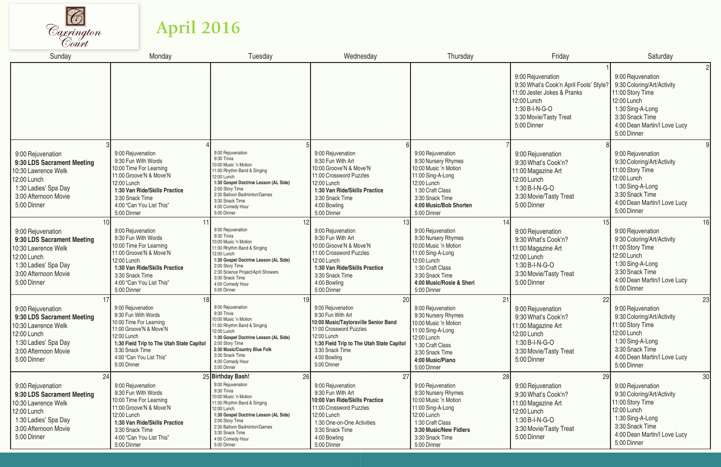

## **April 2016**

| Sunday                                                                                                                                               | Monday                                                                                                                                                                                                                   | Tuesday                                                                                                                                                                                                                                                                              | Wednesday                                                                                                                                                                                                                     | Thursday                                                                                                                                                                                    | Friday                                                                                                                                                               | Saturday                                                                                                                                                                                    |
|------------------------------------------------------------------------------------------------------------------------------------------------------|--------------------------------------------------------------------------------------------------------------------------------------------------------------------------------------------------------------------------|--------------------------------------------------------------------------------------------------------------------------------------------------------------------------------------------------------------------------------------------------------------------------------------|-------------------------------------------------------------------------------------------------------------------------------------------------------------------------------------------------------------------------------|---------------------------------------------------------------------------------------------------------------------------------------------------------------------------------------------|----------------------------------------------------------------------------------------------------------------------------------------------------------------------|---------------------------------------------------------------------------------------------------------------------------------------------------------------------------------------------|
|                                                                                                                                                      |                                                                                                                                                                                                                          |                                                                                                                                                                                                                                                                                      |                                                                                                                                                                                                                               |                                                                                                                                                                                             | 9:00 Rejuvenation<br>9:30 What's Cook'n April Fools' Style?<br>11:00 Jester Jokes & Pranks<br>12:00 Lunch<br>1:30 B-I-N-G-O<br>3:30 Movie/Tasty Treat<br>5:00 Dinner | 2 <br>9:00 Rejuvenation<br>9:30 Coloring/Art/Activity<br>11:00 Story Time<br>12:00 Lunch<br>1:30 Sing-A-Long<br>3:30 Snack Time<br>4:00 Dean Martin/I Love Lucy<br>5:00 Dinner              |
| 9:00 Rejuvenation<br>9:30 LDS Sacrament Meeting<br>10:30 Lawrence Welk<br>12:00 Lunch<br>1:30 Ladies' Spa Day<br>3:00 Afternoon Movie<br>5:00 Dinner | 9:00 Rejuvenation<br>9:30 Fun With Words<br>10:00 Time For Learning<br>11:00 Groove'N & Move'N<br>12:00 Lunch<br>1:30 Van Ride/Skills Practice<br>3:30 Snack Time<br>4:00 "Can You List This"<br>5:00 Dinner             | 9:00 Rejuvenation<br>9:30 Trivia<br>10:00 Music 'n Motion<br>11:00 Rhythm Band & Singing<br>12:00 Lunch<br>1:30 Gospel Doctrine Lesson (AL Side)<br>2:00 Story Time<br>2:30 Balloon Badminton/Games<br>3:30 Snack Time<br>4:00 Comedy Hour<br>5:00 Dinner                            | 9:00 Rejuvenation<br>9:30 Fun With Art<br>10:00 Groove'N & Move'N<br>11:00 Crossword Puzzles<br>12:00 Lunch<br>1:30 Van Ride/Skills Practice<br>3:30 Snack Time<br>4:00 Bowling<br>5:00 Dinner                                | 9:00 Rejuvenation<br>9:30 Nursery Rhymes<br>10:00 Music 'n Motion<br>11:00 Sing-A-Long<br>12:00 Lunch<br>1:30 Craft Class<br>3:30 Snack Time<br>4:00 Music/Bob Shorten<br>5:00 Dinner       | 9:00 Rejuvenation<br>9:30 What's Cook'n?<br>11:00 Magazine Art<br>12:00 Lunch<br>1:30 B-I-N-G-O<br>3:30 Movie/Tasty Treat<br>5:00 Dinner                             | 9:00 Rejuvenation<br>9:30 Coloring/Art/Activity<br>11:00 Story Time<br>12:00 Lunch<br>1:30 Sing-A-Long<br>3:30 Snack Time<br>4:00 Dean Martin/I Love Lucy<br>5:00 Dinner                    |
| 9:00 Rejuvenation<br>9:30 LDS Sacrament Meeting<br>10:30 Lawrence Welk<br>12:00 Lunch<br>1:30 Ladies' Spa Day<br>3:00 Afternoon Movie<br>5:00 Dinner | 9:00 Rejuvenation<br>9:30 Fun With Words<br>10:00 Time For Learning<br>11:00 Groove'N & Move'N<br>12:00 Lunch<br>1:30 Van Ride/Skills Practice<br>3:30 Snack Time<br>4:00 "Can You List This"<br>5:00 Dinner             | 9:00 Rejuvenation<br>9:30 Trivia<br>10:00 Music 'n Motion<br>11:00 Rhythm Band & Singing<br>12:00 Lunch<br>1:30 Gospel Doctrine Lesson (AL Side)<br>2:00 Story Time<br>2:30 Science Project/April Showers<br>3:30 Snack Time<br>4:00 Comedy Hour<br>5:00 Dinner                      | 13<br>9:00 Rejuvenation<br>9:30 Fun With Art<br>10:00 Groove'N & Move'N<br>11:00 Crossword Puzzles<br>12:00 Lunch<br>1:30 Van Ride/Skills Practice<br>3:30 Snack Time<br>4:00 Bowling<br>5:00 Dinner                          | 9:00 Rejuvenation<br>9:30 Nursery Rhymes<br>10:00 Music 'n Motion<br>11:00 Sing-A-Long<br>12:00 Lunch<br>1:30 Craft Class<br>3:30 Snack Time<br>4:00 Music/Rosie & Sheri<br>5:00 Dinner     | 9:00 Rejuvenation<br>9:30 What's Cook'n?<br>11:00 Magazine Art<br>12:00 Lunch<br>1:30 B-I-N-G-O<br>3:30 Movie/Tasty Treat<br>5:00 Dinner                             | 16 <sup>1</sup><br>9:00 Rejuvenation<br>9:30 Coloring/Art/Activity<br>11:00 Story Time<br>12:00 Lunch<br>1:30 Sing-A-Long<br>3:30 Snack Time<br>4:00 Dean Martin/I Love Lucy<br>5:00 Dinner |
| 9:00 Rejuvenation<br>9:30 LDS Sacrament Meeting<br>10:30 Lawrence Welk<br>12:00 Lunch<br>1:30 Ladies' Spa Day<br>3:00 Afternoon Movie<br>5:00 Dinner | 9:00 Rejuvenation<br>9:30 Fun With Words<br>10:00 Time For Learning<br>11:00 Groove'N & Move'N<br>12:00 Lunch<br>1:30 Field Trip to The Utah State Capitol<br>3:30 Snack Time<br>4:00 "Can You List This"<br>5:00 Dinner | 9:00 Rejuvenation<br>9:30 Trivia<br>10:00 Music 'n Motion<br>11:00 Rhythm Band & Singing<br>12:00 Lunch<br>1:30 Gospel Doctrine Lesson (AL Side)<br>2:00 Story Time<br>2:30 Music/Country Blue Folk<br>3:30 Snack Time<br>4:00 Comedy Hour<br>5:00 Dinner                            | 20<br>9:00 Rejuvenation<br>9:30 Fun With Art<br>10:00 Music/Taylorsville Senior Band<br>11:00 Crossword Puzzles<br>12:00 Lunch<br>1:30 Field Trip to The Utah State Capitol<br>3:30 Snack Time<br>4:00 Bowling<br>5:00 Dinner | 21<br>9:00 Rejuvenation<br>9:30 Nursery Rhymes<br>10:00 Music 'n Motion<br>11:00 Sing-A-Long<br>12:00 Lunch<br>1:30 Craft Class<br>3:30 Snack Time<br>4:00 Music/Piano<br>5:00 Dinner       | 22<br>9:00 Rejuvenation<br>9:30 What's Cook'n?<br>11:00 Magazine Art<br>12:00 Lunch<br>1:30 B-I-N-G-O<br>3:30 Movie/Tasty Treat<br>5:00 Dinner                       | 23<br>9:00 Rejuvenation<br>9:30 Coloring/Art/Activity<br>11:00 Story Time<br>12:00 Lunch<br>1:30 Sing-A-Long<br>3:30 Snack Time<br>4:00 Dean Martin/I Love Lucy<br>5:00 Dinner              |
| 9:00 Rejuvenation<br>9:30 LDS Sacrament Meeting<br>10:30 Lawrence Welk<br>12:00 Lunch<br>1:30 Ladies' Spa Day<br>3:00 Afternoon Movie<br>5:00 Dinner | 9:00 Rejuvenation<br>9:30 Fun With Words<br>10:00 Time For Learning<br>11:00 Groove'N & Move'N<br>12:00 Lunch<br>1:30 Van Ride/Skills Practice<br>3:30 Snack Time<br>4:00 "Can You List This"<br>5:00 Dinner             | 25 Birthday Bash!<br>26<br>9:00 Rejuvenation<br>9:30 Trivia<br>10:00 Music 'n Motion<br>11:00 Rhythm Band & Singing<br>12:00 Lunch<br>1:30 Gospel Doctrine Lesson (AL Side)<br>2:00 Story Time<br>2:30 Balloon Badminton/Games<br>3:30 Snack Time<br>4:00 Comedy Hour<br>5:00 Dinner | 27<br>9:00 Rejuvenation<br>9:30 Fun With Art<br>10:00 Van Ride/Skills Practice<br>11:00 Crossword Puzzles<br>12:00 Lunch<br>1:30 One-on-One Activities<br>3:30 Snack Time<br>4:00 Bowling<br>5:00 Dinner                      | 28<br>9:00 Rejuvenation<br>9:30 Nursery Rhymes<br>10:00 Music 'n Motion<br>11:00 Sing-A-Long<br>12:00 Lunch<br>1:30 Craft Class<br>3:30 Music/New Fidlers<br>3:30 Snack Time<br>5:00 Dinner | 29<br>9:00 Rejuvenation<br>9:30 What's Cook'n?<br>11:00 Magazine Art<br>12:00 Lunch<br>1:30 B-I-N-G-O<br>3:30 Movie/Tasty Treat<br>5:00 Dinner                       | 30 <sup>2</sup><br>9:00 Rejuvenation<br>9:30 Coloring/Art/Activity<br>11:00 Story Time<br>12:00 Lunch<br>1:30 Sing-A-Long<br>3:30 Snack Time<br>4:00 Dean Martin/I Love Lucy<br>5:00 Dinner |